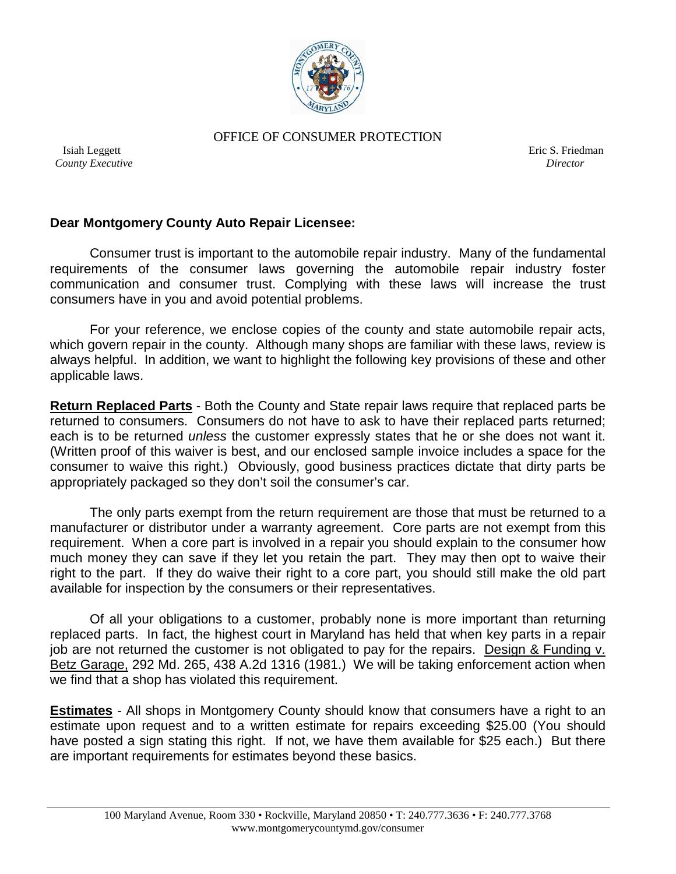

OFFICE OF CONSUMER PROTECTION

 *County Executive Director*

**Isiah Leggett Existence Eric S. Friedman** 

## **Dear Montgomery County Auto Repair Licensee:**

Consumer trust is important to the automobile repair industry. Many of the fundamental requirements of the consumer laws governing the automobile repair industry foster communication and consumer trust. Complying with these laws will increase the trust consumers have in you and avoid potential problems.

For your reference, we enclose copies of the county and state automobile repair acts, which govern repair in the county. Although many shops are familiar with these laws, review is always helpful. In addition, we want to highlight the following key provisions of these and other applicable laws.

**Return Replaced Parts** - Both the County and State repair laws require that replaced parts be returned to consumers. Consumers do not have to ask to have their replaced parts returned; each is to be returned *unless* the customer expressly states that he or she does not want it. (Written proof of this waiver is best, and our enclosed sample invoice includes a space for the consumer to waive this right.) Obviously, good business practices dictate that dirty parts be appropriately packaged so they don't soil the consumer's car.

The only parts exempt from the return requirement are those that must be returned to a manufacturer or distributor under a warranty agreement. Core parts are not exempt from this requirement. When a core part is involved in a repair you should explain to the consumer how much money they can save if they let you retain the part. They may then opt to waive their right to the part. If they do waive their right to a core part, you should still make the old part available for inspection by the consumers or their representatives.

Of all your obligations to a customer, probably none is more important than returning replaced parts. In fact, the highest court in Maryland has held that when key parts in a repair job are not returned the customer is not obligated to pay for the repairs. Design & Funding v. Betz Garage, 292 Md. 265, 438 A.2d 1316 (1981.) We will be taking enforcement action when we find that a shop has violated this requirement.

**Estimates** - All shops in Montgomery County should know that consumers have a right to an estimate upon request and to a written estimate for repairs exceeding \$25.00 (You should have posted a sign stating this right. If not, we have them available for \$25 each.) But there are important requirements for estimates beyond these basics.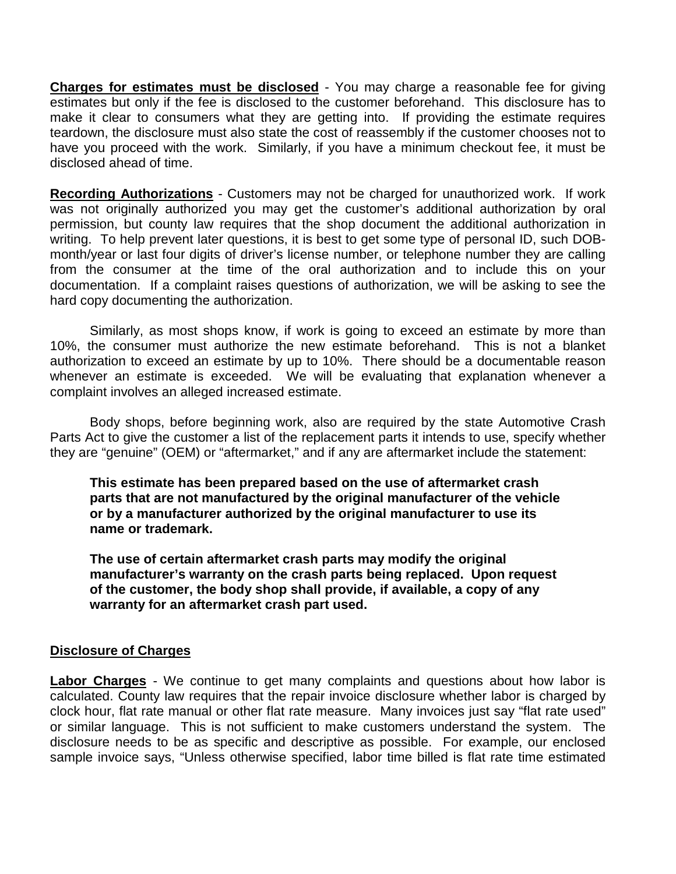**Charges for estimates must be disclosed** - You may charge a reasonable fee for giving estimates but only if the fee is disclosed to the customer beforehand. This disclosure has to make it clear to consumers what they are getting into. If providing the estimate requires teardown, the disclosure must also state the cost of reassembly if the customer chooses not to have you proceed with the work. Similarly, if you have a minimum checkout fee, it must be disclosed ahead of time.

**Recording Authorizations** - Customers may not be charged for unauthorized work. If work was not originally authorized you may get the customer's additional authorization by oral permission, but county law requires that the shop document the additional authorization in writing. To help prevent later questions, it is best to get some type of personal ID, such DOBmonth/year or last four digits of driver's license number, or telephone number they are calling from the consumer at the time of the oral authorization and to include this on your documentation. If a complaint raises questions of authorization, we will be asking to see the hard copy documenting the authorization.

Similarly, as most shops know, if work is going to exceed an estimate by more than 10%, the consumer must authorize the new estimate beforehand. This is not a blanket authorization to exceed an estimate by up to 10%. There should be a documentable reason whenever an estimate is exceeded. We will be evaluating that explanation whenever a complaint involves an alleged increased estimate.

Body shops, before beginning work, also are required by the state Automotive Crash Parts Act to give the customer a list of the replacement parts it intends to use, specify whether they are "genuine" (OEM) or "aftermarket," and if any are aftermarket include the statement:

**This estimate has been prepared based on the use of aftermarket crash parts that are not manufactured by the original manufacturer of the vehicle or by a manufacturer authorized by the original manufacturer to use its name or trademark.** 

**The use of certain aftermarket crash parts may modify the original manufacturer's warranty on the crash parts being replaced. Upon request of the customer, the body shop shall provide, if available, a copy of any warranty for an aftermarket crash part used.** 

## **Disclosure of Charges**

**Labor Charges** - We continue to get many complaints and questions about how labor is calculated. County law requires that the repair invoice disclosure whether labor is charged by clock hour, flat rate manual or other flat rate measure. Many invoices just say "flat rate used" or similar language. This is not sufficient to make customers understand the system. The disclosure needs to be as specific and descriptive as possible. For example, our enclosed sample invoice says, "Unless otherwise specified, labor time billed is flat rate time estimated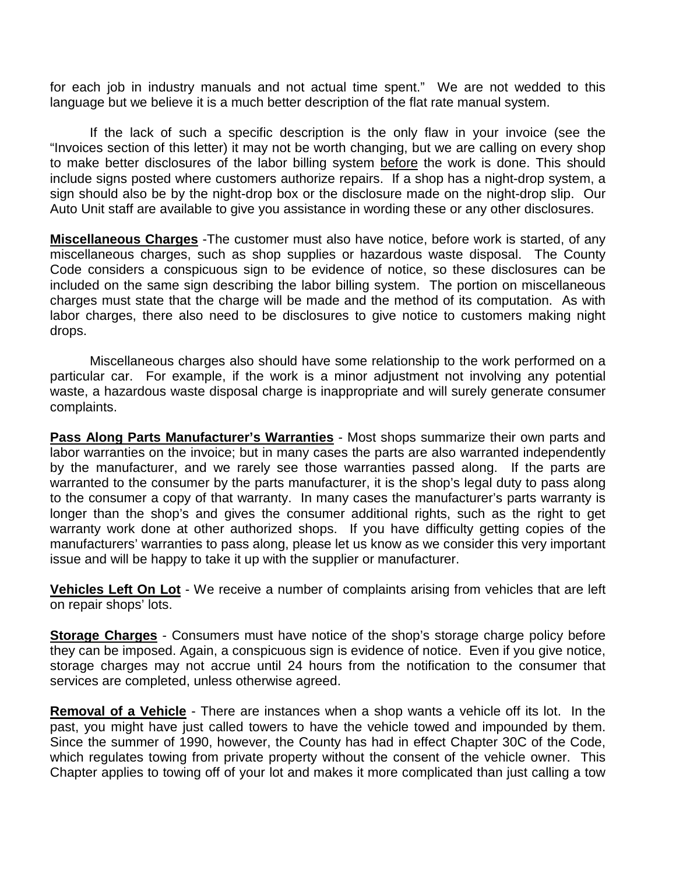for each job in industry manuals and not actual time spent." We are not wedded to this language but we believe it is a much better description of the flat rate manual system.

If the lack of such a specific description is the only flaw in your invoice (see the "Invoices section of this letter) it may not be worth changing, but we are calling on every shop to make better disclosures of the labor billing system before the work is done. This should include signs posted where customers authorize repairs. If a shop has a night-drop system, a sign should also be by the night-drop box or the disclosure made on the night-drop slip. Our Auto Unit staff are available to give you assistance in wording these or any other disclosures.

**Miscellaneous Charges** -The customer must also have notice, before work is started, of any miscellaneous charges, such as shop supplies or hazardous waste disposal. The County Code considers a conspicuous sign to be evidence of notice, so these disclosures can be included on the same sign describing the labor billing system. The portion on miscellaneous charges must state that the charge will be made and the method of its computation. As with labor charges, there also need to be disclosures to give notice to customers making night drops.

Miscellaneous charges also should have some relationship to the work performed on a particular car. For example, if the work is a minor adjustment not involving any potential waste, a hazardous waste disposal charge is inappropriate and will surely generate consumer complaints.

Pass Along Parts Manufacturer's Warranties - Most shops summarize their own parts and labor warranties on the invoice; but in many cases the parts are also warranted independently by the manufacturer, and we rarely see those warranties passed along. If the parts are warranted to the consumer by the parts manufacturer, it is the shop's legal duty to pass along to the consumer a copy of that warranty. In many cases the manufacturer's parts warranty is longer than the shop's and gives the consumer additional rights, such as the right to get warranty work done at other authorized shops. If you have difficulty getting copies of the manufacturers' warranties to pass along, please let us know as we consider this very important issue and will be happy to take it up with the supplier or manufacturer.

**Vehicles Left On Lot** - We receive a number of complaints arising from vehicles that are left on repair shops' lots.

**Storage Charges** - Consumers must have notice of the shop's storage charge policy before they can be imposed. Again, a conspicuous sign is evidence of notice. Even if you give notice, storage charges may not accrue until 24 hours from the notification to the consumer that services are completed, unless otherwise agreed.

**Removal of a Vehicle** - There are instances when a shop wants a vehicle off its lot. In the past, you might have just called towers to have the vehicle towed and impounded by them. Since the summer of 1990, however, the County has had in effect Chapter 30C of the Code, which regulates towing from private property without the consent of the vehicle owner. This Chapter applies to towing off of your lot and makes it more complicated than just calling a tow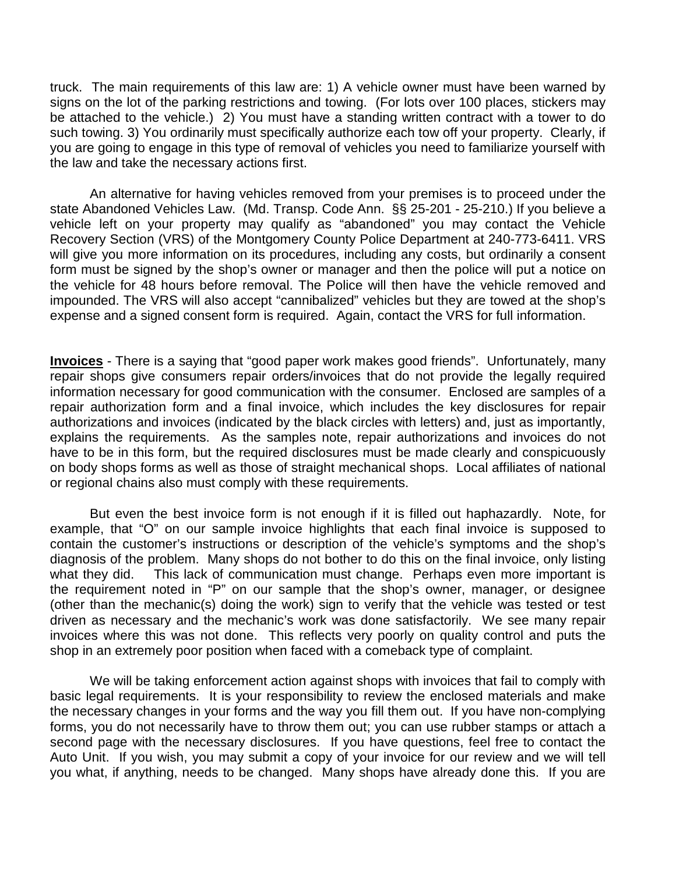truck. The main requirements of this law are: 1) A vehicle owner must have been warned by signs on the lot of the parking restrictions and towing. (For lots over 100 places, stickers may be attached to the vehicle.) 2) You must have a standing written contract with a tower to do such towing. 3) You ordinarily must specifically authorize each tow off your property. Clearly, if you are going to engage in this type of removal of vehicles you need to familiarize yourself with the law and take the necessary actions first.

An alternative for having vehicles removed from your premises is to proceed under the state Abandoned Vehicles Law. (Md. Transp. Code Ann. §§ 25-201 - 25-210.) If you believe a vehicle left on your property may qualify as "abandoned" you may contact the Vehicle Recovery Section (VRS) of the Montgomery County Police Department at 240-773-6411. VRS will give you more information on its procedures, including any costs, but ordinarily a consent form must be signed by the shop's owner or manager and then the police will put a notice on the vehicle for 48 hours before removal. The Police will then have the vehicle removed and impounded. The VRS will also accept "cannibalized" vehicles but they are towed at the shop's expense and a signed consent form is required. Again, contact the VRS for full information.

**Invoices** - There is a saying that "good paper work makes good friends". Unfortunately, many repair shops give consumers repair orders/invoices that do not provide the legally required information necessary for good communication with the consumer. Enclosed are samples of a repair authorization form and a final invoice, which includes the key disclosures for repair authorizations and invoices (indicated by the black circles with letters) and, just as importantly, explains the requirements. As the samples note, repair authorizations and invoices do not have to be in this form, but the required disclosures must be made clearly and conspicuously on body shops forms as well as those of straight mechanical shops. Local affiliates of national or regional chains also must comply with these requirements.

But even the best invoice form is not enough if it is filled out haphazardly. Note, for example, that "O" on our sample invoice highlights that each final invoice is supposed to contain the customer's instructions or description of the vehicle's symptoms and the shop's diagnosis of the problem. Many shops do not bother to do this on the final invoice, only listing what they did. This lack of communication must change. Perhaps even more important is the requirement noted in "P" on our sample that the shop's owner, manager, or designee (other than the mechanic(s) doing the work) sign to verify that the vehicle was tested or test driven as necessary and the mechanic's work was done satisfactorily. We see many repair invoices where this was not done. This reflects very poorly on quality control and puts the shop in an extremely poor position when faced with a comeback type of complaint.

We will be taking enforcement action against shops with invoices that fail to comply with basic legal requirements. It is your responsibility to review the enclosed materials and make the necessary changes in your forms and the way you fill them out. If you have non-complying forms, you do not necessarily have to throw them out; you can use rubber stamps or attach a second page with the necessary disclosures. If you have questions, feel free to contact the Auto Unit. If you wish, you may submit a copy of your invoice for our review and we will tell you what, if anything, needs to be changed. Many shops have already done this. If you are